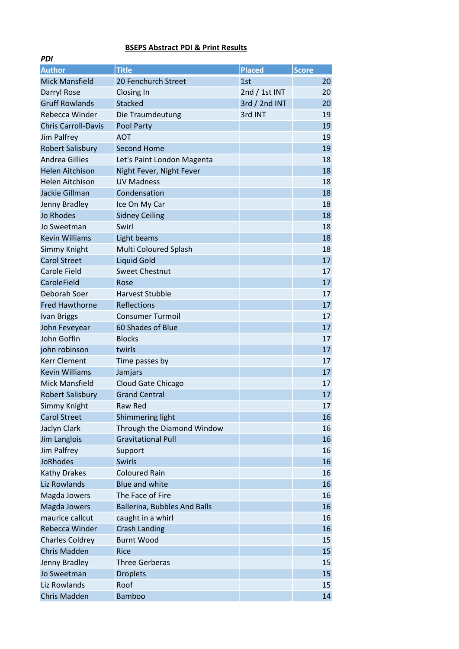## BSEPS Abstract PDI & Print Results

 $DDI$ 

| <u>гиі</u>                 |                                     |               |              |    |
|----------------------------|-------------------------------------|---------------|--------------|----|
| <b>Author</b>              | <b>Title</b>                        | Placed        | <b>Score</b> |    |
| <b>Mick Mansfield</b>      | 20 Fenchurch Street                 | 1st           |              | 20 |
| Darryl Rose                | Closing In                          | 2nd / 1st INT |              | 20 |
| <b>Gruff Rowlands</b>      | <b>Stacked</b>                      | 3rd / 2nd INT |              | 20 |
| Rebecca Winder             | Die Traumdeutung                    | 3rd INT       |              | 19 |
| <b>Chris Carroll-Davis</b> | Pool Party                          |               |              | 19 |
| Jim Palfrey                | <b>AOT</b>                          |               |              | 19 |
| <b>Robert Salisbury</b>    | <b>Second Home</b>                  |               |              | 19 |
| <b>Andrea Gillies</b>      | Let's Paint London Magenta          |               |              | 18 |
| <b>Helen Aitchison</b>     | Night Fever, Night Fever            |               |              | 18 |
| <b>Helen Aitchison</b>     | <b>UV Madness</b>                   |               |              | 18 |
| Jackie Gillman             | Condensation                        |               |              | 18 |
| Jenny Bradley              | Ice On My Car                       |               |              | 18 |
| <b>Jo Rhodes</b>           | <b>Sidney Ceiling</b>               |               |              | 18 |
| Jo Sweetman                | Swirl                               |               |              | 18 |
| <b>Kevin Williams</b>      | Light beams                         |               |              | 18 |
| Simmy Knight               | Multi Coloured Splash               |               |              | 18 |
| <b>Carol Street</b>        | <b>Liquid Gold</b>                  |               |              | 17 |
| <b>Carole Field</b>        | <b>Sweet Chestnut</b>               |               |              | 17 |
| CaroleField                | Rose                                |               |              | 17 |
| Deborah Soer               | <b>Harvest Stubble</b>              |               |              | 17 |
| <b>Fred Hawthorne</b>      | <b>Reflections</b>                  |               |              | 17 |
| <b>Ivan Briggs</b>         | <b>Consumer Turmoil</b>             |               |              | 17 |
| John Feveyear              | 60 Shades of Blue                   |               |              | 17 |
| John Goffin                | <b>Blocks</b>                       |               |              | 17 |
| john robinson              | twirls                              |               |              | 17 |
| <b>Kerr Clement</b>        | Time passes by                      |               |              | 17 |
| <b>Kevin Williams</b>      | Jamjars                             |               |              | 17 |
| <b>Mick Mansfield</b>      | Cloud Gate Chicago                  |               |              | 17 |
| <b>Robert Salisbury</b>    | <b>Grand Central</b>                |               |              | 17 |
| Simmy Knight               | Raw Red                             |               |              | 17 |
| <b>Carol Street</b>        | Shimmering light                    |               |              | 16 |
| Jaclyn Clark               | Through the Diamond Window          |               |              | 16 |
| Jim Langlois               | <b>Gravitational Pull</b>           |               |              | 16 |
| Jim Palfrey                | Support                             |               |              | 16 |
| <b>JoRhodes</b>            | Swirls                              |               |              | 16 |
| <b>Kathy Drakes</b>        | <b>Coloured Rain</b>                |               |              | 16 |
| Liz Rowlands               | <b>Blue and white</b>               |               |              | 16 |
| Magda Jowers               | The Face of Fire                    |               |              | 16 |
| Magda Jowers               | <b>Ballerina, Bubbles And Balls</b> |               |              | 16 |
| maurice callcut            | caught in a whirl                   |               |              | 16 |
| Rebecca Winder             | <b>Crash Landing</b>                |               |              | 16 |
| <b>Charles Coldrey</b>     | <b>Burnt Wood</b>                   |               |              | 15 |
| <b>Chris Madden</b>        | <b>Rice</b>                         |               |              | 15 |
| Jenny Bradley              | <b>Three Gerberas</b>               |               |              | 15 |
| Jo Sweetman                | <b>Droplets</b>                     |               |              | 15 |
| Liz Rowlands               | Roof                                |               |              | 15 |
| Chris Madden               | <b>Bamboo</b>                       |               |              | 14 |
|                            |                                     |               |              |    |